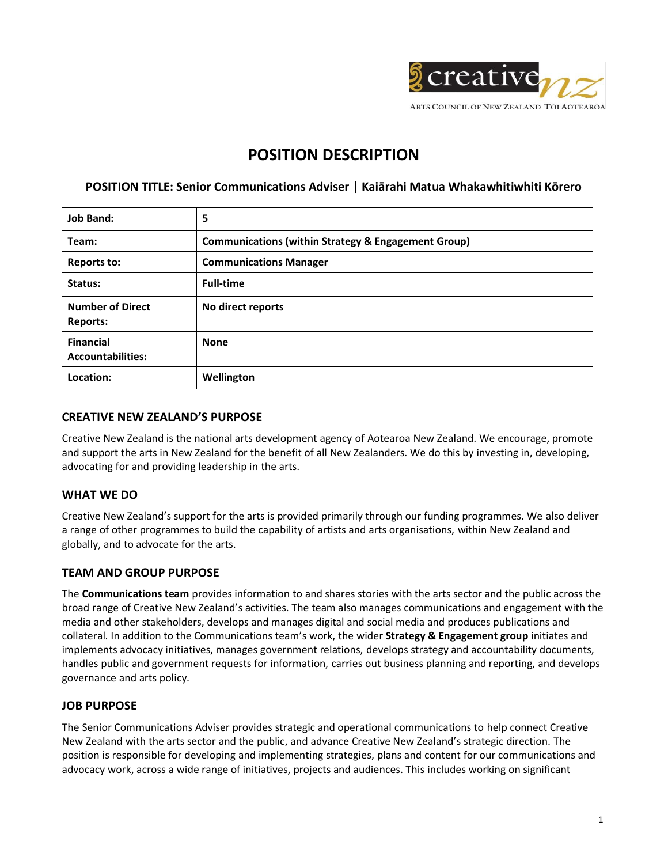

# **POSITION DESCRIPTION**

# **POSITION TITLE: Senior Communications Adviser | Kaiārahi Matua Whakawhitiwhiti Kōrero**

| <b>Job Band:</b>                             | 5                                                              |
|----------------------------------------------|----------------------------------------------------------------|
| Team:                                        | <b>Communications (within Strategy &amp; Engagement Group)</b> |
| Reports to:                                  | <b>Communications Manager</b>                                  |
| Status:                                      | <b>Full-time</b>                                               |
| <b>Number of Direct</b><br><b>Reports:</b>   | No direct reports                                              |
| <b>Financial</b><br><b>Accountabilities:</b> | <b>None</b>                                                    |
| Location:                                    | Wellington                                                     |

### **CREATIVE NEW ZEALAND'S PURPOSE**

Creative New Zealand is the national arts development agency of Aotearoa New Zealand. We encourage, promote and support the arts in New Zealand for the benefit of all New Zealanders. We do this by investing in, developing, advocating for and providing leadership in the arts.

## **WHAT WE DO**

Creative New Zealand's support for the arts is provided primarily through our funding programmes. We also deliver a range of other programmes to build the capability of artists and arts organisations, within New Zealand and globally, and to advocate for the arts.

## **TEAM AND GROUP PURPOSE**

The **Communications team** provides information to and shares stories with the arts sector and the public across the broad range of Creative New Zealand's activities. The team also manages communications and engagement with the media and other stakeholders, develops and manages digital and social media and produces publications and collateral. In addition to the Communications team's work, the wider **Strategy & Engagement group** initiates and implements advocacy initiatives, manages government relations, develops strategy and accountability documents, handles public and government requests for information, carries out business planning and reporting, and develops governance and arts policy.

## **JOB PURPOSE**

The Senior Communications Adviser provides strategic and operational communications to help connect Creative New Zealand with the arts sector and the public, and advance Creative New Zealand's strategic direction. The position is responsible for developing and implementing strategies, plans and content for our communications and advocacy work, across a wide range of initiatives, projects and audiences. This includes working on significant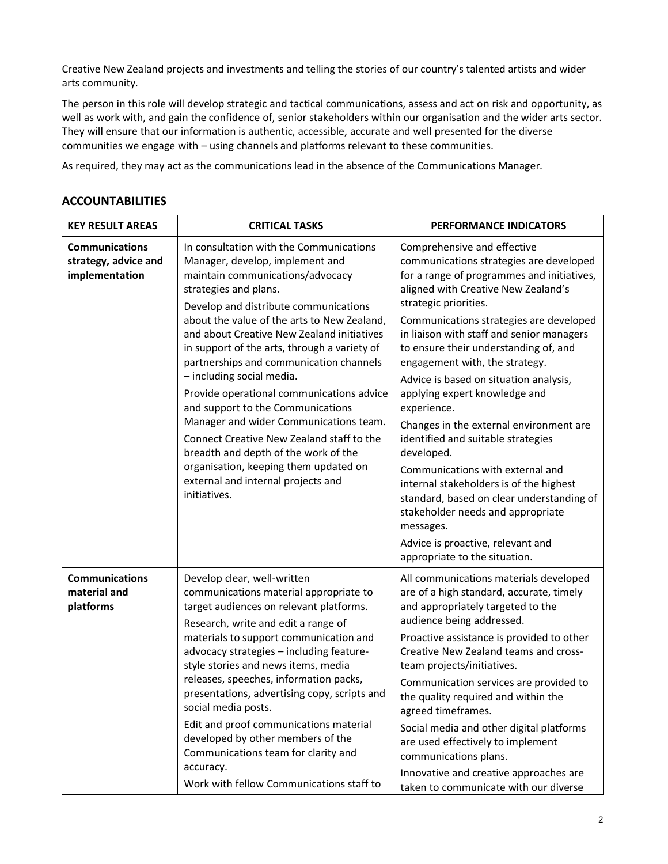Creative New Zealand projects and investments and telling the stories of our country's talented artists and wider arts community.

The person in this role will develop strategic and tactical communications, assess and act on risk and opportunity, as well as work with, and gain the confidence of, senior stakeholders within our organisation and the wider arts sector. They will ensure that our information is authentic, accessible, accurate and well presented for the diverse communities we engage with – using channels and platforms relevant to these communities.

As required, they may act as the communications lead in the absence of the Communications Manager.

| <b>KEY RESULT AREAS</b>                                         | <b>CRITICAL TASKS</b>                                                                                                                                                                                                                                                                                                                                                                                                                                                                                                                                                                                                                                                                                                 | PERFORMANCE INDICATORS                                                                                                                                                                                    |
|-----------------------------------------------------------------|-----------------------------------------------------------------------------------------------------------------------------------------------------------------------------------------------------------------------------------------------------------------------------------------------------------------------------------------------------------------------------------------------------------------------------------------------------------------------------------------------------------------------------------------------------------------------------------------------------------------------------------------------------------------------------------------------------------------------|-----------------------------------------------------------------------------------------------------------------------------------------------------------------------------------------------------------|
| <b>Communications</b><br>strategy, advice and<br>implementation | In consultation with the Communications<br>Manager, develop, implement and<br>maintain communications/advocacy<br>strategies and plans.<br>Develop and distribute communications<br>about the value of the arts to New Zealand,<br>and about Creative New Zealand initiatives<br>in support of the arts, through a variety of<br>partnerships and communication channels<br>- including social media.<br>Provide operational communications advice<br>and support to the Communications<br>Manager and wider Communications team.<br>Connect Creative New Zealand staff to the<br>breadth and depth of the work of the<br>organisation, keeping them updated on<br>external and internal projects and<br>initiatives. | Comprehensive and effective<br>communications strategies are developed<br>for a range of programmes and initiatives,<br>aligned with Creative New Zealand's<br>strategic priorities.                      |
|                                                                 |                                                                                                                                                                                                                                                                                                                                                                                                                                                                                                                                                                                                                                                                                                                       | Communications strategies are developed<br>in liaison with staff and senior managers<br>to ensure their understanding of, and<br>engagement with, the strategy.<br>Advice is based on situation analysis, |
|                                                                 |                                                                                                                                                                                                                                                                                                                                                                                                                                                                                                                                                                                                                                                                                                                       | applying expert knowledge and<br>experience.                                                                                                                                                              |
|                                                                 |                                                                                                                                                                                                                                                                                                                                                                                                                                                                                                                                                                                                                                                                                                                       | Changes in the external environment are<br>identified and suitable strategies<br>developed.                                                                                                               |
|                                                                 |                                                                                                                                                                                                                                                                                                                                                                                                                                                                                                                                                                                                                                                                                                                       | Communications with external and<br>internal stakeholders is of the highest<br>standard, based on clear understanding of<br>stakeholder needs and appropriate<br>messages.                                |
|                                                                 |                                                                                                                                                                                                                                                                                                                                                                                                                                                                                                                                                                                                                                                                                                                       | Advice is proactive, relevant and<br>appropriate to the situation.                                                                                                                                        |
| <b>Communications</b><br>material and<br>platforms              | Develop clear, well-written<br>communications material appropriate to<br>target audiences on relevant platforms.<br>Research, write and edit a range of                                                                                                                                                                                                                                                                                                                                                                                                                                                                                                                                                               | All communications materials developed<br>are of a high standard, accurate, timely<br>and appropriately targeted to the<br>audience being addressed.                                                      |
|                                                                 | materials to support communication and<br>advocacy strategies - including feature-<br>style stories and news items, media<br>releases, speeches, information packs,<br>presentations, advertising copy, scripts and<br>social media posts.<br>Edit and proof communications material<br>developed by other members of the<br>Communications team for clarity and                                                                                                                                                                                                                                                                                                                                                      | Proactive assistance is provided to other<br>Creative New Zealand teams and cross-<br>team projects/initiatives.                                                                                          |
|                                                                 |                                                                                                                                                                                                                                                                                                                                                                                                                                                                                                                                                                                                                                                                                                                       | Communication services are provided to<br>the quality required and within the<br>agreed timeframes.                                                                                                       |
|                                                                 |                                                                                                                                                                                                                                                                                                                                                                                                                                                                                                                                                                                                                                                                                                                       | Social media and other digital platforms<br>are used effectively to implement<br>communications plans.                                                                                                    |
|                                                                 | accuracy.<br>Work with fellow Communications staff to                                                                                                                                                                                                                                                                                                                                                                                                                                                                                                                                                                                                                                                                 | Innovative and creative approaches are<br>taken to communicate with our diverse                                                                                                                           |

# **ACCOUNTABILITIES**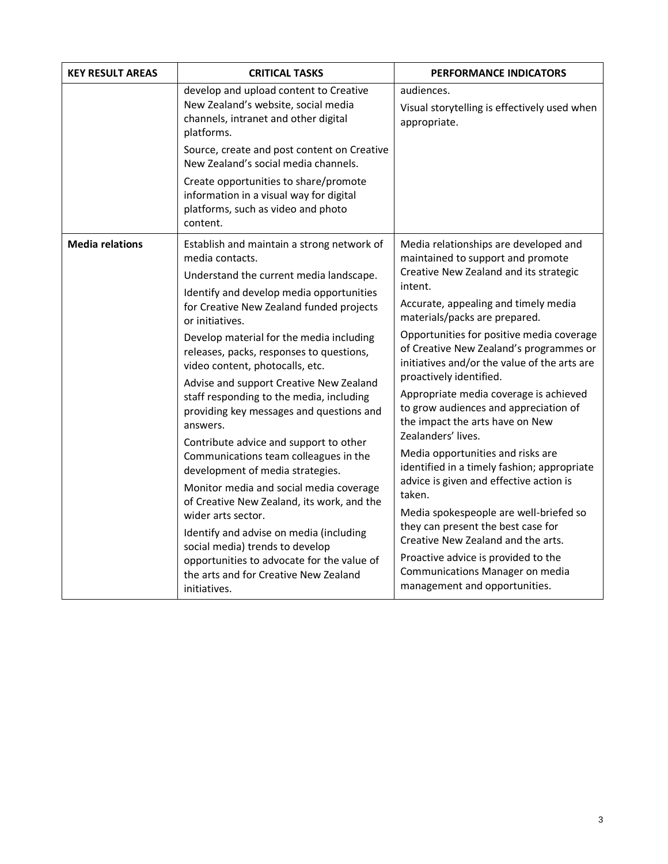| <b>KEY RESULT AREAS</b>                                                                                                                                          | <b>CRITICAL TASKS</b>                                                                                                              | PERFORMANCE INDICATORS                                                                                                                                                                                                                  |
|------------------------------------------------------------------------------------------------------------------------------------------------------------------|------------------------------------------------------------------------------------------------------------------------------------|-----------------------------------------------------------------------------------------------------------------------------------------------------------------------------------------------------------------------------------------|
| develop and upload content to Creative<br>New Zealand's website, social media<br>channels, intranet and other digital<br>platforms.                              | audiences.<br>Visual storytelling is effectively used when<br>appropriate.                                                         |                                                                                                                                                                                                                                         |
|                                                                                                                                                                  | Source, create and post content on Creative<br>New Zealand's social media channels.                                                |                                                                                                                                                                                                                                         |
|                                                                                                                                                                  | Create opportunities to share/promote<br>information in a visual way for digital<br>platforms, such as video and photo<br>content. |                                                                                                                                                                                                                                         |
| <b>Media relations</b>                                                                                                                                           | Establish and maintain a strong network of<br>media contacts.                                                                      | Media relationships are developed and<br>maintained to support and promote                                                                                                                                                              |
|                                                                                                                                                                  | Understand the current media landscape.                                                                                            | Creative New Zealand and its strategic<br>intent.                                                                                                                                                                                       |
|                                                                                                                                                                  | Identify and develop media opportunities<br>for Creative New Zealand funded projects<br>or initiatives.                            | Accurate, appealing and timely media<br>materials/packs are prepared.                                                                                                                                                                   |
|                                                                                                                                                                  | Develop material for the media including<br>releases, packs, responses to questions,<br>video content, photocalls, etc.            | Opportunities for positive media coverage<br>of Creative New Zealand's programmes or<br>initiatives and/or the value of the arts are<br>proactively identified.                                                                         |
| Advise and support Creative New Zealand<br>answers.<br>development of media strategies.<br>wider arts sector.<br>social media) trends to develop<br>initiatives. | staff responding to the media, including<br>providing key messages and questions and                                               | Appropriate media coverage is achieved<br>to grow audiences and appreciation of<br>the impact the arts have on New                                                                                                                      |
|                                                                                                                                                                  | Contribute advice and support to other<br>Communications team colleagues in the                                                    | Zealanders' lives.<br>Media opportunities and risks are<br>identified in a timely fashion; appropriate<br>advice is given and effective action is                                                                                       |
|                                                                                                                                                                  | Monitor media and social media coverage<br>of Creative New Zealand, its work, and the                                              | taken.<br>Media spokespeople are well-briefed so<br>they can present the best case for<br>Creative New Zealand and the arts.<br>Proactive advice is provided to the<br>Communications Manager on media<br>management and opportunities. |
|                                                                                                                                                                  | Identify and advise on media (including                                                                                            |                                                                                                                                                                                                                                         |
|                                                                                                                                                                  | opportunities to advocate for the value of<br>the arts and for Creative New Zealand                                                |                                                                                                                                                                                                                                         |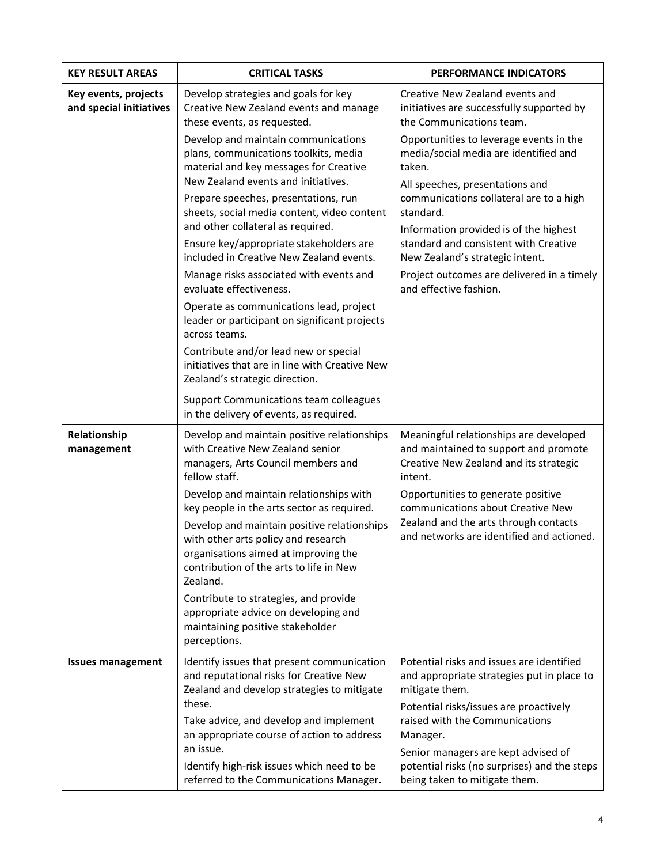| <b>KEY RESULT AREAS</b>                         | <b>CRITICAL TASKS</b>                                                                                                                                                             | PERFORMANCE INDICATORS                                                                                                                                                                                                                                                                                                                      |
|-------------------------------------------------|-----------------------------------------------------------------------------------------------------------------------------------------------------------------------------------|---------------------------------------------------------------------------------------------------------------------------------------------------------------------------------------------------------------------------------------------------------------------------------------------------------------------------------------------|
| Key events, projects<br>and special initiatives | Develop strategies and goals for key<br>Creative New Zealand events and manage<br>these events, as requested.                                                                     | Creative New Zealand events and<br>initiatives are successfully supported by<br>the Communications team.<br>Opportunities to leverage events in the<br>media/social media are identified and<br>taken.<br>All speeches, presentations and<br>communications collateral are to a high<br>standard.<br>Information provided is of the highest |
|                                                 | Develop and maintain communications<br>plans, communications toolkits, media<br>material and key messages for Creative<br>New Zealand events and initiatives.                     |                                                                                                                                                                                                                                                                                                                                             |
|                                                 | Prepare speeches, presentations, run<br>sheets, social media content, video content<br>and other collateral as required.                                                          |                                                                                                                                                                                                                                                                                                                                             |
|                                                 | Ensure key/appropriate stakeholders are<br>included in Creative New Zealand events.                                                                                               | standard and consistent with Creative<br>New Zealand's strategic intent.                                                                                                                                                                                                                                                                    |
|                                                 | Manage risks associated with events and<br>evaluate effectiveness.                                                                                                                | Project outcomes are delivered in a timely<br>and effective fashion.                                                                                                                                                                                                                                                                        |
|                                                 | Operate as communications lead, project<br>leader or participant on significant projects<br>across teams.                                                                         |                                                                                                                                                                                                                                                                                                                                             |
|                                                 | Contribute and/or lead new or special<br>initiatives that are in line with Creative New<br>Zealand's strategic direction.                                                         |                                                                                                                                                                                                                                                                                                                                             |
|                                                 | Support Communications team colleagues<br>in the delivery of events, as required.                                                                                                 |                                                                                                                                                                                                                                                                                                                                             |
| Relationship<br>management                      | Develop and maintain positive relationships<br>with Creative New Zealand senior<br>managers, Arts Council members and<br>fellow staff.                                            | Meaningful relationships are developed<br>and maintained to support and promote<br>Creative New Zealand and its strategic<br>intent.                                                                                                                                                                                                        |
|                                                 | Develop and maintain relationships with<br>key people in the arts sector as required.                                                                                             | Opportunities to generate positive<br>communications about Creative New                                                                                                                                                                                                                                                                     |
|                                                 | Develop and maintain positive relationships<br>with other arts policy and research<br>organisations aimed at improving the<br>contribution of the arts to life in New<br>Zealand. | Zealand and the arts through contacts<br>and networks are identified and actioned.                                                                                                                                                                                                                                                          |
|                                                 | Contribute to strategies, and provide<br>appropriate advice on developing and<br>maintaining positive stakeholder<br>perceptions.                                                 |                                                                                                                                                                                                                                                                                                                                             |
| <b>Issues management</b>                        | Identify issues that present communication<br>and reputational risks for Creative New<br>Zealand and develop strategies to mitigate                                               | Potential risks and issues are identified<br>and appropriate strategies put in place to<br>mitigate them.                                                                                                                                                                                                                                   |
|                                                 | these.<br>Take advice, and develop and implement<br>an appropriate course of action to address                                                                                    | Potential risks/issues are proactively<br>raised with the Communications<br>Manager.                                                                                                                                                                                                                                                        |
|                                                 | an issue.<br>Identify high-risk issues which need to be<br>referred to the Communications Manager.                                                                                | Senior managers are kept advised of<br>potential risks (no surprises) and the steps<br>being taken to mitigate them.                                                                                                                                                                                                                        |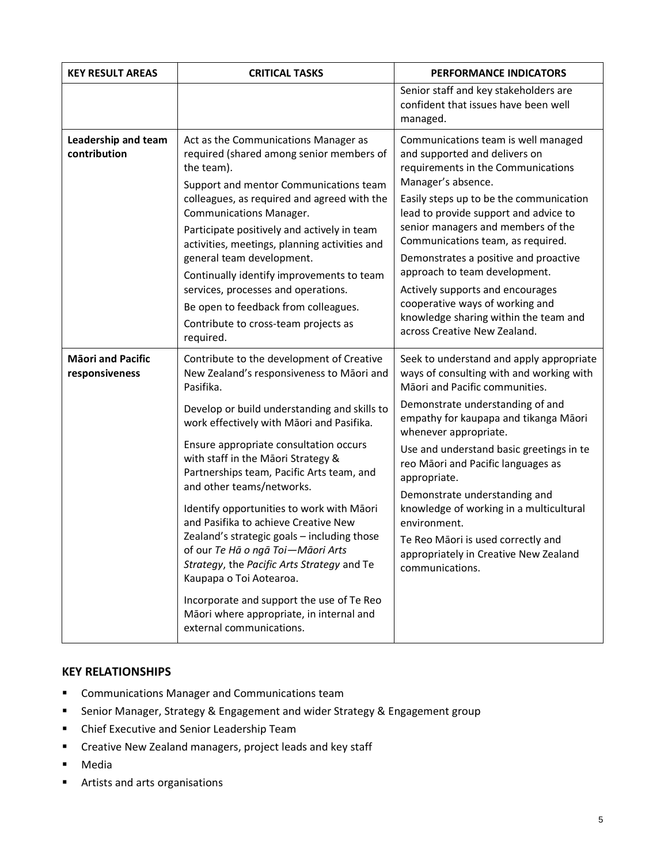| <b>KEY RESULT AREAS</b>                    | <b>CRITICAL TASKS</b>                                                                                                                                                                                                                                                                                                                                                                                                                                                                                                                                                                                                                                                                                                             | <b>PERFORMANCE INDICATORS</b>                                                                                                                                                                                                                                                                                                                                                                                                                                                                                                |
|--------------------------------------------|-----------------------------------------------------------------------------------------------------------------------------------------------------------------------------------------------------------------------------------------------------------------------------------------------------------------------------------------------------------------------------------------------------------------------------------------------------------------------------------------------------------------------------------------------------------------------------------------------------------------------------------------------------------------------------------------------------------------------------------|------------------------------------------------------------------------------------------------------------------------------------------------------------------------------------------------------------------------------------------------------------------------------------------------------------------------------------------------------------------------------------------------------------------------------------------------------------------------------------------------------------------------------|
|                                            |                                                                                                                                                                                                                                                                                                                                                                                                                                                                                                                                                                                                                                                                                                                                   | Senior staff and key stakeholders are<br>confident that issues have been well<br>managed.                                                                                                                                                                                                                                                                                                                                                                                                                                    |
| Leadership and team<br>contribution        | Act as the Communications Manager as<br>required (shared among senior members of<br>the team).<br>Support and mentor Communications team<br>colleagues, as required and agreed with the<br><b>Communications Manager.</b><br>Participate positively and actively in team<br>activities, meetings, planning activities and<br>general team development.<br>Continually identify improvements to team<br>services, processes and operations.<br>Be open to feedback from colleagues.<br>Contribute to cross-team projects as<br>required.                                                                                                                                                                                           | Communications team is well managed<br>and supported and delivers on<br>requirements in the Communications<br>Manager's absence.<br>Easily steps up to be the communication<br>lead to provide support and advice to<br>senior managers and members of the<br>Communications team, as required.<br>Demonstrates a positive and proactive<br>approach to team development.<br>Actively supports and encourages<br>cooperative ways of working and<br>knowledge sharing within the team and<br>across Creative New Zealand.    |
| <b>Māori and Pacific</b><br>responsiveness | Contribute to the development of Creative<br>New Zealand's responsiveness to Māori and<br>Pasifika.<br>Develop or build understanding and skills to<br>work effectively with Māori and Pasifika.<br>Ensure appropriate consultation occurs<br>with staff in the Māori Strategy &<br>Partnerships team, Pacific Arts team, and<br>and other teams/networks.<br>Identify opportunities to work with Māori<br>and Pasifika to achieve Creative New<br>Zealand's strategic goals - including those<br>of our Te Hā o ngā Toi-Māori Arts<br>Strategy, the Pacific Arts Strategy and Te<br>Kaupapa o Toi Aotearoa.<br>Incorporate and support the use of Te Reo<br>Māori where appropriate, in internal and<br>external communications. | Seek to understand and apply appropriate<br>ways of consulting with and working with<br>Māori and Pacific communities.<br>Demonstrate understanding of and<br>empathy for kaupapa and tikanga Māori<br>whenever appropriate.<br>Use and understand basic greetings in te<br>reo Māori and Pacific languages as<br>appropriate.<br>Demonstrate understanding and<br>knowledge of working in a multicultural<br>environment.<br>Te Reo Māori is used correctly and<br>appropriately in Creative New Zealand<br>communications. |

## **KEY RELATIONSHIPS**

- Communications Manager and Communications team
- Senior Manager, Strategy & Engagement and wider Strategy & Engagement group
- Chief Executive and Senior Leadership Team
- Creative New Zealand managers, project leads and key staff
- Media
- Artists and arts organisations